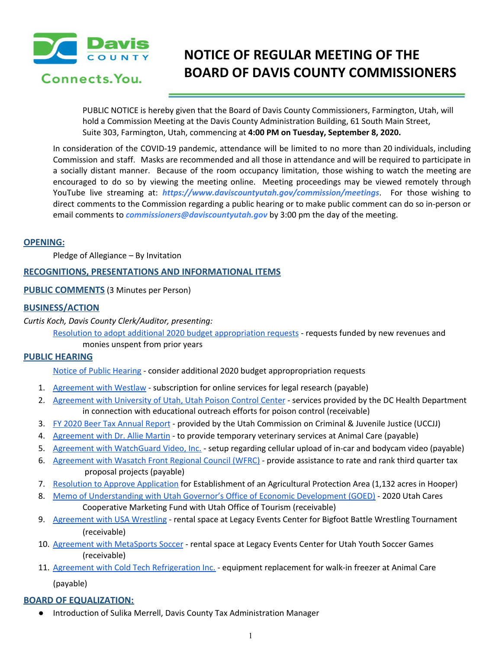

# **NOTICE OF REGULAR MEETING OF THE BOARD OF DAVIS COUNTY COMMISSIONERS**

PUBLIC NOTICE is hereby given that the Board of Davis County Commissioners, Farmington, Utah, will hold a Commission Meeting at the Davis County Administration Building, 61 South Main Street, Suite 303, Farmington, Utah, commencing at **4:00 PM on Tuesday, September 8, 2020.**

In consideration of the COVID-19 pandemic, attendance will be limited to no more than 20 individuals, including Commission and staff. Masks are recommended and all those in attendance and will be required to participate in a socially distant manner. Because of the room occupancy limitation, those wishing to watch the meeting are encouraged to do so by viewing the meeting online. Meeting proceedings may be viewed remotely through YouTube live streaming at: *https://www.daviscountyutah.gov/commission/meetings*. For those wishing to direct comments to the Commission regarding a public hearing or to make public comment can do so in-person or email comments to *commissioners@daviscountyutah.gov* by 3:00 pm the day of the meeting.

#### **OPENING:**

Pledge of Allegiance – By Invitation

## **RECOGNITIONS, PRESENTATIONS AND INFORMATIONAL ITEMS**

## **PUBLIC COMMENTS** (3 Minutes per Person)

#### **BUSINESS/ACTION**

*Curtis Koch, Davis County Clerk/Auditor, presenting:*

Resolution to adopt additional 2020 budget [appropriation](https://drive.google.com/file/d/1cIWSVlujZADCxSVyCQFAEPopm_egfqiK/view?usp=drivesdk) requests - requests funded by new revenues and monies unspent from prior years

## **PUBLIC HEARING**

Notice of Public [Hearing](https://drive.google.com/file/d/1fM6wXA3ejRHtxamkMwiqmokAlJfvePRN/view?usp=drivesdk) - consider additional 2020 budget appropropriation requests

- 1. [Agreement](https://drive.google.com/file/d/1A84k_WFtxkevT5BnKE4rPJlJ4Kdr6qsm/view?usp=drivesdk) with Westlaw subscription for online services for legal research (payable)
- 2. [Agreement](https://drive.google.com/file/d/1wVpTwtFcOtJbO1nidA9YslgV0-3sqyHK/view?usp=drivesdk) with University of Utah, Utah Poison Control Center services provided by the DC Health Department in connection with educational outreach efforts for poison control (receivable)
- 3. FY 2020 Beer Tax [Annual](https://drive.google.com/file/d/1wguyQ1lNo-ViggNM760rBdVo3r7iXv_T/view?usp=drivesdk) Report provided by the Utah Commission on Criminal & Juvenile Justice (UCCJJ)
- 4. [Agreement](https://drive.google.com/file/d/14RnrUx1Moc924YaMNYbUZtEhcj8fo4nu/view?usp=drivesdk) with Dr. Allie Martin to provide temporary veterinary services at Animal Care (payable)
- 5. Agreement with [WatchGuard](https://drive.google.com/file/d/194qU_T25R01SQU0wMWZmK4FcmnBfFG8K/view?usp=drivesdk) Video, Inc. setup regarding cellular upload of in-car and bodycam video (payable)
- 6. [Agreement](https://drive.google.com/file/d/1gxlPNo1foBjX7uUMqOtghTuyGZ5Gui2L/view?usp=drivesdk) with Wasatch Front Regional Council (WFRC) provide assistance to rate and rank third quarter tax proposal projects (payable)
- 7. Resolution to Approve [Application](https://drive.google.com/file/d/1jmBPQ4lRn9BOGcFPXf0oWHyFtgzvq6-g/view?usp=drivesdk) for Establishment of an Agricultural Protection Area (1,132 acres in Hooper)
- 8. Memo of [Understanding](https://drive.google.com/file/d/1RtQnHvLB5baztT2GsowMUX7krxnIuatc/view?usp=drivesdk) with Utah Governor's Office of Economic Development (GOED) 2020 Utah Cares Cooperative Marketing Fund with Utah Office of Tourism (receivable)
- 9. [Agreement](https://drive.google.com/file/d/1a4DTzGmSzWHhD7t3fZmnIyosQbK1LT3R/view?usp=drivesdk) with USA Wrestling rental space at Legacy Events Center for Bigfoot Battle Wrestling Tournament (receivable)
- 10. Agreement with [MetaSports](https://drive.google.com/file/d/1ALyaNCNJ4Jopw6DMGNFLxopDDTcxV2k4/view?usp=drivesdk) Soccer rental space at Legacy Events Center for Utah Youth Soccer Games (receivable)
- 11. Agreement with Cold Tech [Refrigeration](https://drive.google.com/file/d/1cEv06f6sO05XUH0w1UYFUWmwypyPIGEo/view?usp=drivesdk) Inc. equipment replacement for walk-in freezer at Animal Care (payable)

## **BOARD OF EQUALIZATION:**

● Introduction of Sulika Merrell, Davis County Tax Administration Manager